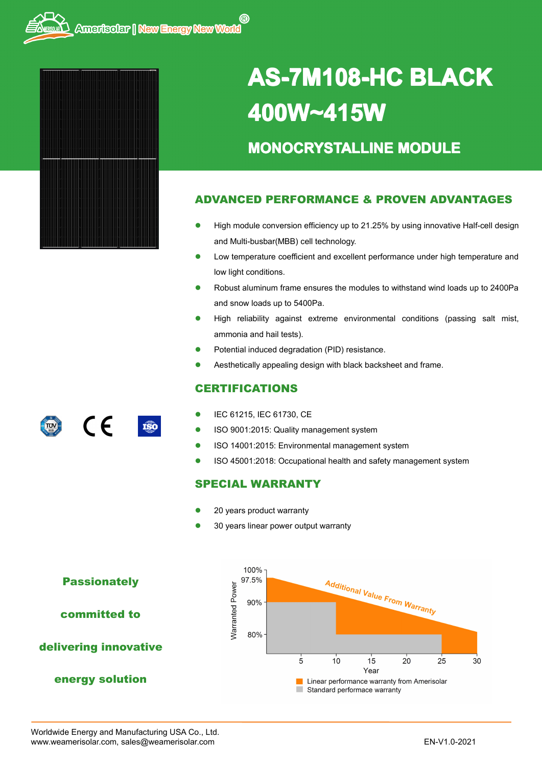

# **AS-7M108-HC 7M108-HC 7M108-HC7M108-HCBLACK 400W~415W**

## **MONOCRYSTALLINE MODULE**

#### **ADVANCED PERFORMANCE & PROVEN ADVANTAGES**

- � High module conversion efficiency up to 21.25% by using innovative Half-cell design and Multi-busbar(MBB) cell technology.
- $\bullet$  Low temperature coefficient and excellent performance under high temperature and low light conditions.
- � Robust aluminum frame ensures the modules to withstand wind loads up to 2400Pa and snow loads up to 5400Pa.
- � High reliability against extreme environmental conditions (passing salt mist, ammonia and hail tests).
- �Potential induced degradation (PID) resistance.
- �Aesthetically appealing design with black backsheet and frame.

#### **CERTIFICATIONS**

- �IEC 61215, IEC 61730, CE
- �**ISO 80001:2015: Quality management system** 
	- �ISO 14001:2015: Environmental management system
	- �ISO 45001:2018: Occupational health and safety management system

#### **SPECIAL WARRANTY**

- �20 years product warranty
- �30 years linear power output warranty